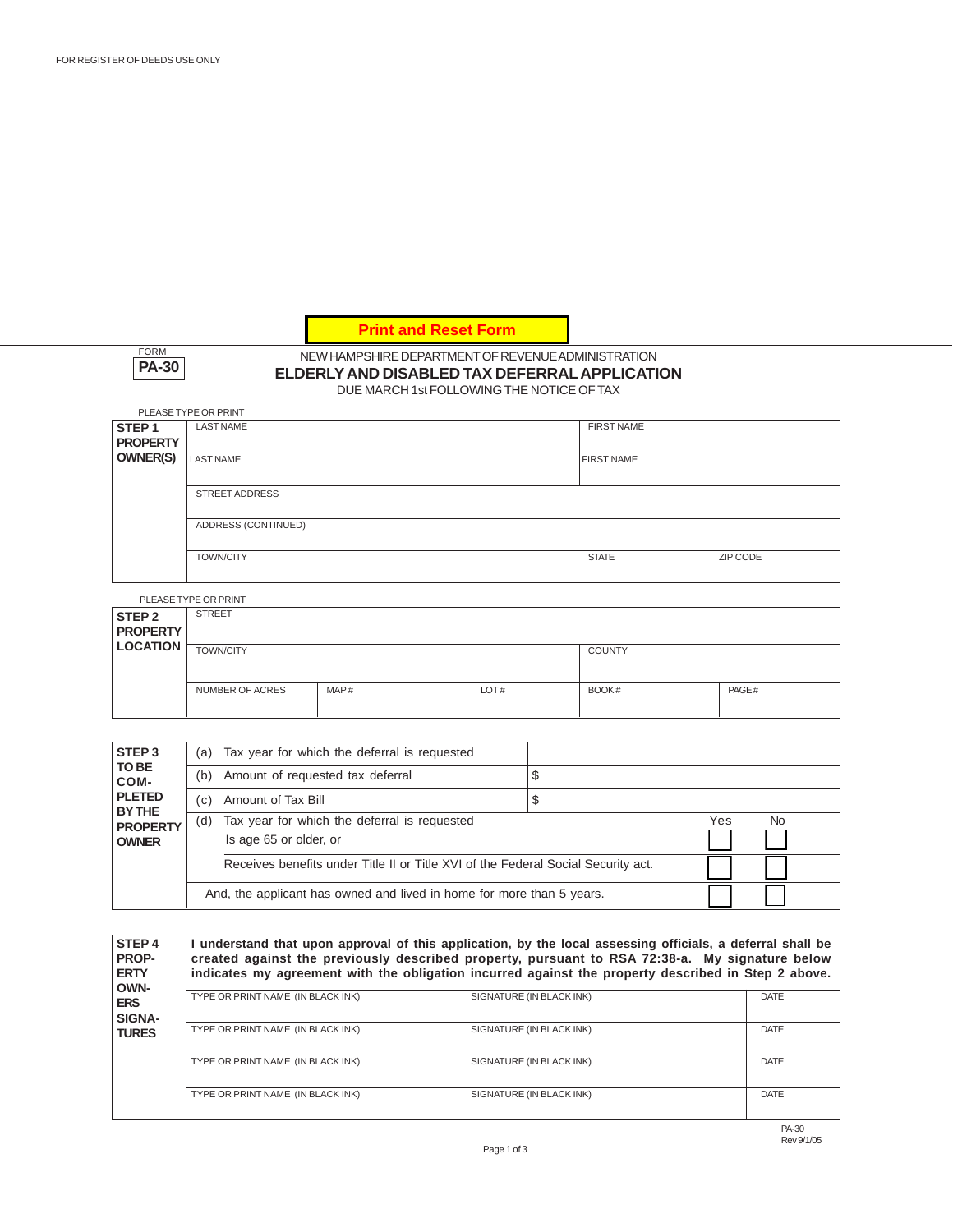**Print and Reset Form** 

FORM **PA-30**

### NEW HAMPSHIRE DEPARTMENT OF REVENUE ADMINISTRATION **ELDERLY AND DISABLED TAX DEFERRAL APPLICATION** DUE MARCH 1st FOLLOWING THE NOTICE OF TAX

|                   | PLEASE TYPE OR PRINT  |                   |          |  |  |
|-------------------|-----------------------|-------------------|----------|--|--|
| STEP <sub>1</sub> | <b>LAST NAME</b>      | <b>FIRST NAME</b> |          |  |  |
| <b>PROPERTY</b>   |                       |                   |          |  |  |
| <b>OWNER(S)</b>   | <b>LAST NAME</b>      | <b>FIRST NAME</b> |          |  |  |
|                   |                       |                   |          |  |  |
|                   | <b>STREET ADDRESS</b> |                   |          |  |  |
|                   |                       |                   |          |  |  |
|                   | ADDRESS (CONTINUED)   |                   |          |  |  |
|                   |                       |                   |          |  |  |
|                   | <b>TOWN/CITY</b>      | <b>STATE</b>      | ZIP CODE |  |  |
|                   |                       |                   |          |  |  |

PLEASE TYPE OR PRINT

|                                      | FLLASL TIFL ON FINIST  |      |      |               |       |
|--------------------------------------|------------------------|------|------|---------------|-------|
| STEP <sub>2</sub><br><b>PROPERTY</b> | <b>STREET</b>          |      |      |               |       |
| <b>LOCATION</b>                      | <b>TOWN/CITY</b>       |      |      | <b>COUNTY</b> |       |
|                                      | <b>NUMBER OF ACRES</b> | MAP# | LOT# | BOOK#         | PAGE# |

| STEP <sub>3</sub><br>TO BE<br>COM- | (a) | Tax year for which the deferral is requested                                      |   |     |                |
|------------------------------------|-----|-----------------------------------------------------------------------------------|---|-----|----------------|
|                                    | (b) | Amount of requested tax deferral                                                  |   |     |                |
| <b>PLETED</b><br>BY THE            | (c) | Amount of Tax Bill                                                                | S |     |                |
| <b>PROPERTY</b><br><b>OWNER</b>    | (d) | Tax year for which the deferral is requested                                      |   | Yes | N <sub>o</sub> |
|                                    |     | Is age 65 or older, or                                                            |   |     |                |
|                                    |     | Receives benefits under Title II or Title XVI of the Federal Social Security act. |   |     |                |
|                                    |     | And, the applicant has owned and lived in home for more than 5 years.             |   |     |                |

| <b>STEP4</b><br><b>PROP-</b><br><b>ERTY</b><br>OWN- | I understand that upon approval of this application, by the local assessing officials, a deferral shall be<br>created against the previously described property, pursuant to RSA 72:38-a. My signature below<br>indicates my agreement with the obligation incurred against the property described in Step 2 above. |                          |             |  |
|-----------------------------------------------------|---------------------------------------------------------------------------------------------------------------------------------------------------------------------------------------------------------------------------------------------------------------------------------------------------------------------|--------------------------|-------------|--|
| <b>ERS</b><br><b>SIGNA-</b>                         | TYPE OR PRINT NAME (IN BLACK INK)                                                                                                                                                                                                                                                                                   | SIGNATURE (IN BLACK INK) | DATE        |  |
| <b>TURES</b>                                        | TYPE OR PRINT NAME (IN BLACK INK)                                                                                                                                                                                                                                                                                   | SIGNATURE (IN BLACK INK) | <b>DATE</b> |  |
|                                                     | TYPE OR PRINT NAME (IN BLACK INK)                                                                                                                                                                                                                                                                                   | SIGNATURE (IN BLACK INK) | <b>DATE</b> |  |
|                                                     | TYPE OR PRINT NAME (IN BLACK INK)                                                                                                                                                                                                                                                                                   | SIGNATURE (IN BLACK INK) | <b>DATE</b> |  |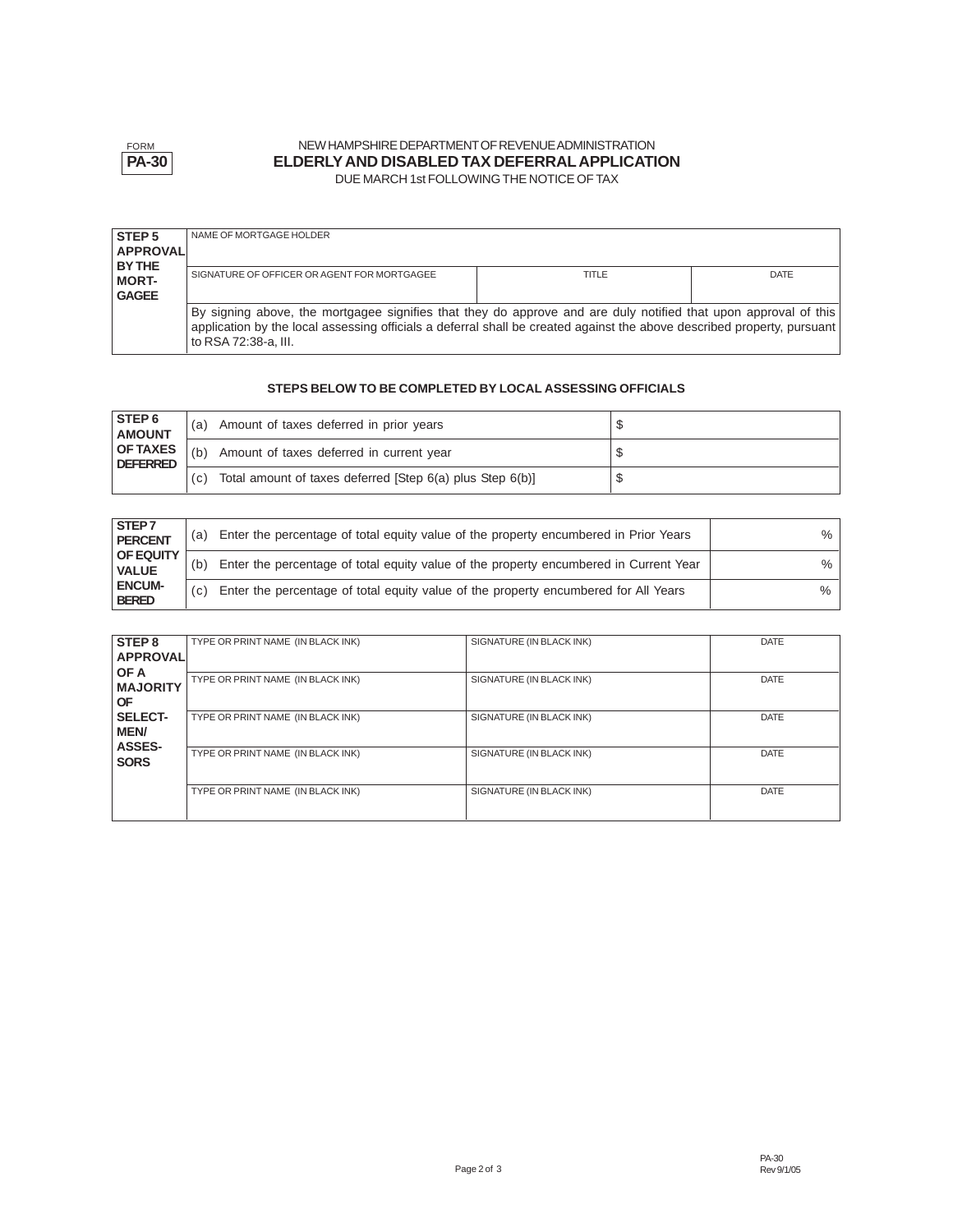

### NEW HAMPSHIRE DEPARTMENT OF REVENUE ADMINISTRATION **ELDERLY AND DISABLED TAX DEFERRAL APPLICATION** DUE MARCH 1st FOLLOWING THE NOTICE OF TAX

| <b>STEP5</b><br><b>APPROVAL</b>        | NAME OF MORTGAGE HOLDER                                                                                                                                                                                                                                            |       |             |
|----------------------------------------|--------------------------------------------------------------------------------------------------------------------------------------------------------------------------------------------------------------------------------------------------------------------|-------|-------------|
| BY THE<br><b>MORT-</b><br><b>GAGEE</b> | SIGNATURE OF OFFICER OR AGENT FOR MORTGAGEE                                                                                                                                                                                                                        | TITLE | <b>DATE</b> |
|                                        | By signing above, the mortgagee signifies that they do approve and are duly notified that upon approval of this<br>application by the local assessing officials a deferral shall be created against the above described property, pursuant<br>to RSA 72:38-a. III. |       |             |

## **STEPS BELOW TO BE COMPLETED BY LOCAL ASSESSING OFFICIALS**

| <b>STEP6</b><br><b>AMOUNT</b>      | (a) | Amount of taxes deferred in prior years                   |  |
|------------------------------------|-----|-----------------------------------------------------------|--|
| <b>OF TAXES</b><br><b>DEFERRED</b> | (b) | Amount of taxes deferred in current year                  |  |
|                                    | (c) | Total amount of taxes deferred [Step 6(a) plus Step 6(b)] |  |

| <b>STEP7</b><br><b>PERCENT</b>   | (a) | Enter the percentage of total equity value of the property encumbered in Prior Years  | %    |
|----------------------------------|-----|---------------------------------------------------------------------------------------|------|
| <b>OF EQUITY</b><br><b>VALUE</b> | (b) | Enter the percentage of total equity value of the property encumbered in Current Year | %    |
| <b>ENCUM-</b><br><b>BERED</b>    | (C) | Enter the percentage of total equity value of the property encumbered for All Years   | $\%$ |

| STEP <sub>8</sub> | TYPE OR PRINT NAME (IN BLACK INK) | SIGNATURE (IN BLACK INK) | <b>DATE</b> |
|-------------------|-----------------------------------|--------------------------|-------------|
| <b>APPROVALI</b>  |                                   |                          |             |
| OF A              |                                   |                          |             |
| <b>MAJORITY</b>   | TYPE OR PRINT NAME (IN BLACK INK) | SIGNATURE (IN BLACK INK) | <b>DATE</b> |
|                   |                                   |                          |             |
| <b>OF</b>         |                                   |                          |             |
| SELECT-           | TYPE OR PRINT NAME (IN BLACK INK) | SIGNATURE (IN BLACK INK) | <b>DATE</b> |
| <b>MEN/</b>       |                                   |                          |             |
| <b>ASSES-</b>     | TYPE OR PRINT NAME (IN BLACK INK) | SIGNATURE (IN BLACK INK) | <b>DATE</b> |
| <b>SORS</b>       |                                   |                          |             |
|                   |                                   |                          |             |
|                   | TYPE OR PRINT NAME (IN BLACK INK) | SIGNATURE (IN BLACK INK) | <b>DATE</b> |
|                   |                                   |                          |             |
|                   |                                   |                          |             |